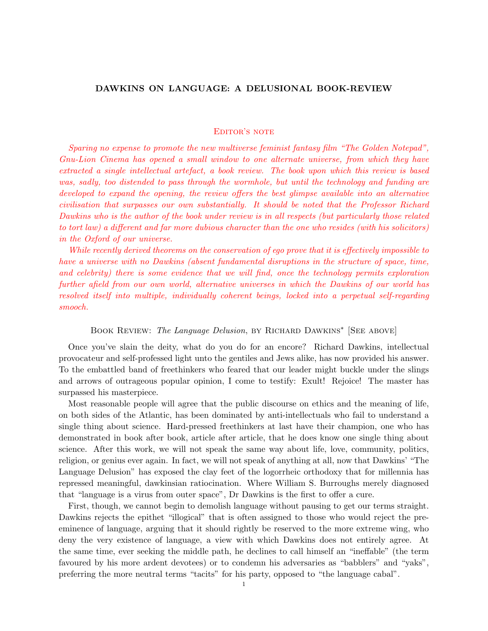## DAWKINS ON LANGUAGE: A DELUSIONAL BOOK-REVIEW

## EDITOR'S NOTE

Sparing no expense to promote the new multiverse feminist fantasy film "The Golden Notepad", Gnu-Lion Cinema has opened a small window to one alternate universe, from which they have extracted a single intellectual artefact, a book review. The book upon which this review is based was, sadly, too distended to pass through the wormhole, but until the technology and funding are developed to expand the opening, the review offers the best glimpse available into an alternative civilisation that surpasses our own substantially. It should be noted that the Professor Richard Dawkins who is the author of the book under review is in all respects (but particularly those related to tort law) a different and far more dubious character than the one who resides (with his solicitors) in the Oxford of our universe.

While recently derived theorems on the conservation of ego prove that it is effectively impossible to have a universe with no Dawkins (absent fundamental disruptions in the structure of space, time, and celebrity) there is some evidence that we will find, once the technology permits exploration further afield from our own world, alternative universes in which the Dawkins of our world has resolved itself into multiple, individually coherent beings, locked into a perpetual self-regarding smooch.

## BOOK REVIEW: The Language Delusion, BY RICHARD DAWKINS<sup>\*</sup> [SEE ABOVE]

Once you've slain the deity, what do you do for an encore? Richard Dawkins, intellectual provocateur and self-professed light unto the gentiles and Jews alike, has now provided his answer. To the embattled band of freethinkers who feared that our leader might buckle under the slings and arrows of outrageous popular opinion, I come to testify: Exult! Rejoice! The master has surpassed his masterpiece.

Most reasonable people will agree that the public discourse on ethics and the meaning of life, on both sides of the Atlantic, has been dominated by anti-intellectuals who fail to understand a single thing about science. Hard-pressed freethinkers at last have their champion, one who has demonstrated in book after book, article after article, that he does know one single thing about science. After this work, we will not speak the same way about life, love, community, politics, religion, or genius ever again. In fact, we will not speak of anything at all, now that Dawkins' "The Language Delusion" has exposed the clay feet of the logorrheic orthodoxy that for millennia has repressed meaningful, dawkinsian ratiocination. Where William S. Burroughs merely diagnosed that "language is a virus from outer space", Dr Dawkins is the first to offer a cure.

First, though, we cannot begin to demolish language without pausing to get our terms straight. Dawkins rejects the epithet "illogical" that is often assigned to those who would reject the preeminence of language, arguing that it should rightly be reserved to the more extreme wing, who deny the very existence of language, a view with which Dawkins does not entirely agree. At the same time, ever seeking the middle path, he declines to call himself an "ineffable" (the term favoured by his more ardent devotees) or to condemn his adversaries as "babblers" and "yaks", preferring the more neutral terms "tacits" for his party, opposed to "the language cabal".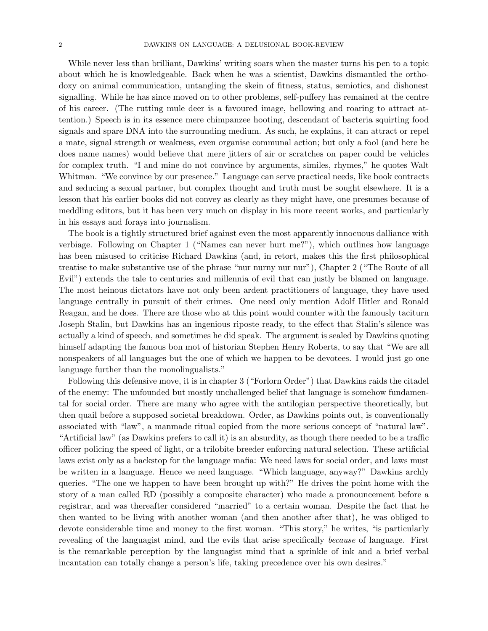While never less than brilliant, Dawkins' writing soars when the master turns his pen to a topic about which he is knowledgeable. Back when he was a scientist, Dawkins dismantled the orthodoxy on animal communication, untangling the skein of fitness, status, semiotics, and dishonest signalling. While he has since moved on to other problems, self-puffery has remained at the centre of his career. (The rutting mule deer is a favoured image, bellowing and roaring to attract attention.) Speech is in its essence mere chimpanzee hooting, descendant of bacteria squirting food signals and spare DNA into the surrounding medium. As such, he explains, it can attract or repel a mate, signal strength or weakness, even organise communal action; but only a fool (and here he does name names) would believe that mere jitters of air or scratches on paper could be vehicles for complex truth. "I and mine do not convince by arguments, similes, rhymes," he quotes Walt Whitman. "We convince by our presence." Language can serve practical needs, like book contracts and seducing a sexual partner, but complex thought and truth must be sought elsewhere. It is a lesson that his earlier books did not convey as clearly as they might have, one presumes because of meddling editors, but it has been very much on display in his more recent works, and particularly in his essays and forays into journalism.

The book is a tightly structured brief against even the most apparently innocuous dalliance with verbiage. Following on Chapter 1 ("Names can never hurt me?"), which outlines how language has been misused to criticise Richard Dawkins (and, in retort, makes this the first philosophical treatise to make substantive use of the phrase "nur nurny nur nur"), Chapter 2 ("The Route of all Evil") extends the tale to centuries and millennia of evil that can justly be blamed on language. The most heinous dictators have not only been ardent practitioners of language, they have used language centrally in pursuit of their crimes. One need only mention Adolf Hitler and Ronald Reagan, and he does. There are those who at this point would counter with the famously taciturn Joseph Stalin, but Dawkins has an ingenious riposte ready, to the effect that Stalin's silence was actually a kind of speech, and sometimes he did speak. The argument is sealed by Dawkins quoting himself adapting the famous bon mot of historian Stephen Henry Roberts, to say that "We are all nonspeakers of all languages but the one of which we happen to be devotees. I would just go one language further than the monolingualists."

Following this defensive move, it is in chapter 3 ("Forlorn Order") that Dawkins raids the citadel of the enemy: The unfounded but mostly unchallenged belief that language is somehow fundamental for social order. There are many who agree with the antilogian perspective theoretically, but then quail before a supposed societal breakdown. Order, as Dawkins points out, is conventionally associated with "law", a manmade ritual copied from the more serious concept of "natural law". "Artificial law" (as Dawkins prefers to call it) is an absurdity, as though there needed to be a traffic officer policing the speed of light, or a trilobite breeder enforcing natural selection. These artificial laws exist only as a backstop for the language mafia: We need laws for social order, and laws must be written in a language. Hence we need language. "Which language, anyway?" Dawkins archly queries. "The one we happen to have been brought up with?" He drives the point home with the story of a man called RD (possibly a composite character) who made a pronouncement before a registrar, and was thereafter considered "married" to a certain woman. Despite the fact that he then wanted to be living with another woman (and then another after that), he was obliged to devote considerable time and money to the first woman. "This story," he writes, "is particularly revealing of the languagist mind, and the evils that arise specifically because of language. First is the remarkable perception by the languagist mind that a sprinkle of ink and a brief verbal incantation can totally change a person's life, taking precedence over his own desires."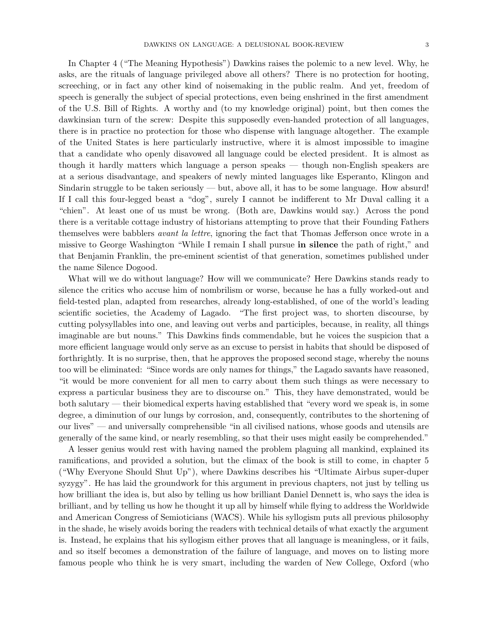In Chapter 4 ("The Meaning Hypothesis") Dawkins raises the polemic to a new level. Why, he asks, are the rituals of language privileged above all others? There is no protection for hooting, screeching, or in fact any other kind of noisemaking in the public realm. And yet, freedom of speech is generally the subject of special protections, even being enshrined in the first amendment of the U.S. Bill of Rights. A worthy and (to my knowledge original) point, but then comes the dawkinsian turn of the screw: Despite this supposedly even-handed protection of all languages, there is in practice no protection for those who dispense with language altogether. The example of the United States is here particularly instructive, where it is almost impossible to imagine that a candidate who openly disavowed all language could be elected president. It is almost as though it hardly matters which language a person speaks — though non-English speakers are at a serious disadvantage, and speakers of newly minted languages like Esperanto, Klingon and Sindarin struggle to be taken seriously — but, above all, it has to be some language. How absurd! If I call this four-legged beast a "dog", surely I cannot be indifferent to Mr Duval calling it a "chien". At least one of us must be wrong. (Both are, Dawkins would say.) Across the pond there is a veritable cottage industry of historians attempting to prove that their Founding Fathers themselves were babblers avant la lettre, ignoring the fact that Thomas Jefferson once wrote in a missive to George Washington "While I remain I shall pursue in silence the path of right," and that Benjamin Franklin, the pre-eminent scientist of that generation, sometimes published under the name Silence Dogood.

What will we do without language? How will we communicate? Here Dawkins stands ready to silence the critics who accuse him of nombrilism or worse, because he has a fully worked-out and field-tested plan, adapted from researches, already long-established, of one of the world's leading scientific societies, the Academy of Lagado. "The first project was, to shorten discourse, by cutting polysyllables into one, and leaving out verbs and participles, because, in reality, all things imaginable are but nouns." This Dawkins finds commendable, but he voices the suspicion that a more efficient language would only serve as an excuse to persist in habits that should be disposed of forthrightly. It is no surprise, then, that he approves the proposed second stage, whereby the nouns too will be eliminated: "Since words are only names for things," the Lagado savants have reasoned, "it would be more convenient for all men to carry about them such things as were necessary to express a particular business they are to discourse on." This, they have demonstrated, would be both salutary — their biomedical experts having established that "every word we speak is, in some degree, a diminution of our lungs by corrosion, and, consequently, contributes to the shortening of our lives" — and universally comprehensible "in all civilised nations, whose goods and utensils are generally of the same kind, or nearly resembling, so that their uses might easily be comprehended."

A lesser genius would rest with having named the problem plaguing all mankind, explained its ramifications, and provided a solution, but the climax of the book is still to come, in chapter 5 ("Why Everyone Should Shut Up"), where Dawkins describes his "Ultimate Airbus super-duper syzygy". He has laid the groundwork for this argument in previous chapters, not just by telling us how brilliant the idea is, but also by telling us how brilliant Daniel Dennett is, who says the idea is brilliant, and by telling us how he thought it up all by himself while flying to address the Worldwide and American Congress of Semioticians (WACS). While his syllogism puts all previous philosophy in the shade, he wisely avoids boring the readers with technical details of what exactly the argument is. Instead, he explains that his syllogism either proves that all language is meaningless, or it fails, and so itself becomes a demonstration of the failure of language, and moves on to listing more famous people who think he is very smart, including the warden of New College, Oxford (who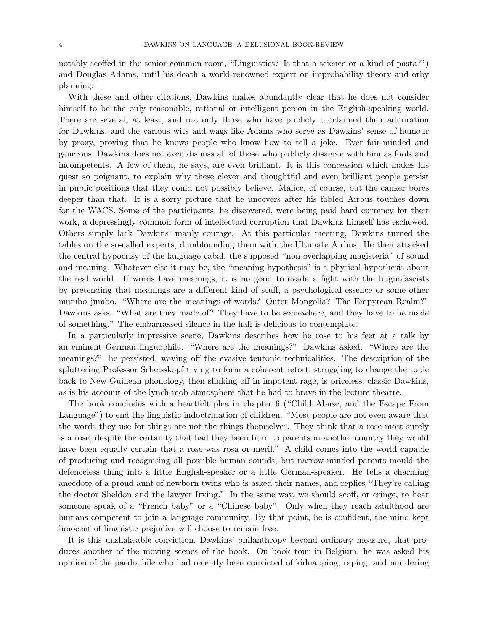notably scoffed in the senior common room, "Linguistics? Is that a science or a kind of pasta?") and Douglas Adams, until his death a world-renowned expert on improbability theory and orby planning.

With these and other citations, Dawkins makes abundantly clear that he does not consider himself to be the only reasonable, rational or intelligent person in the English-speaking world. There are several, at least, and not only those who have publicly proclaimed their admiration for Dawkins, and the various wits and wags like Adams who serve as Dawkins' sense of humour by proxy, proving that he knows people who know how to tell a joke. Ever fair-minded and generous, Dawkins does not even dismiss all of those who publicly disagree with him as fools and incompetents. A few of them, he says, are even brilliant. It is this concession which makes his quest so poignant, to explain why these clever and thoughtful and even brilliant people persist in public positions that they could not possibly believe. Malice, of course, but the canker bores deeper than that. It is a sorry picture that he uncovers after his fabled Airbus touches down for the WACS. Some of the participants, he discovered, were being paid hard currency for their work, a depressingly common form of intellectual corruption that Dawkins himself has eschewed. Others simply lack Dawkins' manly courage. At this particular meeting, Dawkins turned the tables on the so-called experts, dumbfounding them with the Ultimate Airbus. He then attacked the central hypocrisy of the language cabal, the supposed "non-overlapping magisteria" of sound and meaning. Whatever else it may be, the "meaning hypothesis" is a physical hypothesis about the real world. If words have meanings, it is no good to evade a fight with the linguofascists by pretending that meanings are a different kind of stuff, a psychological essence or some other mumbo jumbo. "Where are the meanings of words? Outer Mongolia? The Empyrean Realm?" Dawkins asks. "What are they made of? They have to be somewhere, and they have to be made of something." The embarrassed silence in the hall is delicious to contemplate.

In a particularly impressive scene, Dawkins describes how he rose to his feet at a talk by an eminent German linguophile. "Where are the meanings?" Dawkins asked. "Where are the meanings?" he persisted, waving off the evasive teutonic technicalities. The description of the spluttering Professor Scheisskopf trying to form a coherent retort, struggling to change the topic back to New Guinean phonology, then slinking off in impotent rage, is priceless, classic Dawkins, as is his account of the lynch-mob atmosphere that he had to brave in the lecture theatre.

The book concludes with a heartfelt plea in chapter 6 ("Child Abuse, and the Escape From Language") to end the linguistic indoctrination of children. "Most people are not even aware that the words they use for things are not the things themselves. They think that a rose most surely is a rose, despite the certainty that had they been born to parents in another country they would have been equally certain that a rose was rosa or meril." A child comes into the world capable of producing and recognising all possible human sounds, but narrow-minded parents mould the defenceless thing into a little English-speaker or a little German-speaker. He tells a charming anecdote of a proud aunt of newborn twins who is asked their names, and replies "They're calling the doctor Sheldon and the lawyer Irving." In the same way, we should scoff, or cringe, to hear someone speak of a "French baby" or a "Chinese baby". Only when they reach adulthood are humans competent to join a language community. By that point, he is confident, the mind kept innocent of linguistic prejudice will choose to remain free.

It is this unshakeable conviction, Dawkins' philanthropy beyond ordinary measure, that produces another of the moving scenes of the book. On book tour in Belgium, he was asked his opinion of the paedophile who had recently been convicted of kidnapping, raping, and murdering